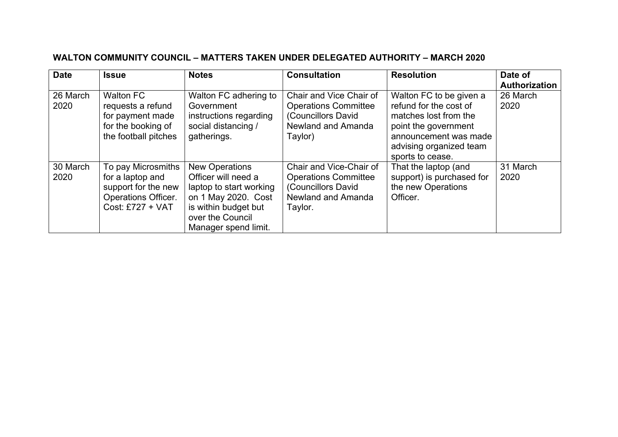| <b>Date</b>      | <b>Issue</b>                                                                                                    | <b>Notes</b>                                                                                                                                                       | <b>Consultation</b>                                                                                           | <b>Resolution</b>                                                                                                                                                          | Date of<br>Authorization |
|------------------|-----------------------------------------------------------------------------------------------------------------|--------------------------------------------------------------------------------------------------------------------------------------------------------------------|---------------------------------------------------------------------------------------------------------------|----------------------------------------------------------------------------------------------------------------------------------------------------------------------------|--------------------------|
| 26 March<br>2020 | <b>Walton FC</b><br>requests a refund<br>for payment made<br>for the booking of<br>the football pitches         | Walton FC adhering to<br>Government<br>instructions regarding<br>social distancing /<br>gatherings.                                                                | Chair and Vice Chair of<br><b>Operations Committee</b><br>(Councillors David<br>Newland and Amanda<br>Taylor) | Walton FC to be given a<br>refund for the cost of<br>matches lost from the<br>point the government<br>announcement was made<br>advising organized team<br>sports to cease. | 26 March<br>2020         |
| 30 March<br>2020 | To pay Microsmiths<br>for a laptop and<br>support for the new<br><b>Operations Officer.</b><br>Cost: £727 + VAT | <b>New Operations</b><br>Officer will need a<br>laptop to start working<br>on 1 May 2020. Cost<br>is within budget but<br>over the Council<br>Manager spend limit. | Chair and Vice-Chair of<br><b>Operations Committee</b><br>(Councillors David<br>Newland and Amanda<br>Taylor. | That the laptop (and<br>support) is purchased for<br>the new Operations<br>Officer.                                                                                        | 31 March<br>2020         |

## **WALTON COMMUNITY COUNCIL – MATTERS TAKEN UNDER DELEGATED AUTHORITY – MARCH 2020**